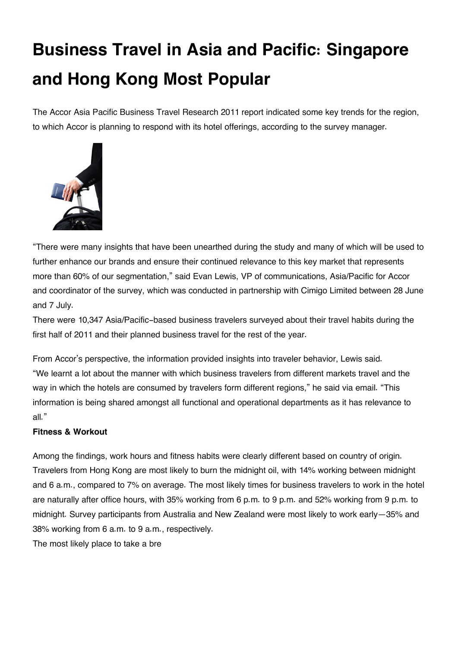# **Business Travel in Asia and Pacific: Singapore and Hong Kong Most Popular**

The Accor Asia Pacific Business Travel Research 2011 report indicated some key trends for the region, to which Accor is planning to respond with its hotel offerings, according to the survey manager.



"There were many insights that have been unearthed during the study and many of which will be used to further enhance our brands and ensure their continued relevance to this key market that represents more than 60% of our segmentation," said Evan Lewis, VP of communications, Asia/Pacific for Accor and coordinator of the survey, which was conducted in partnership with Cimigo Limited between 28 June and 7 July.

There were 10,347 Asia/Pacific-based business travelers surveyed about their travel habits during the first half of 2011 and their planned business travel for the rest of the year.

From Accor's perspective, the information provided insights into traveler behavior, Lewis said. "We learnt a lot about the manner with which business travelers from different markets travel and the way in which the hotels are consumed by travelers form different regions," he said via email. "This information is being shared amongst all functional and operational departments as it has relevance to all."

## **Fitness & Workout**

Among the findings, work hours and fitness habits were clearly different based on country of origin. Travelers from Hong Kong are most likely to burn the midnight oil, with 14% working between midnight and 6 a.m., compared to 7% on average. The most likely times for business travelers to work in the hotel are naturally after office hours, with 35% working from 6 p.m. to 9 p.m. and 52% working from 9 p.m. to midnight. Survey participants from Australia and New Zealand were most likely to work early—35% and 38% working from 6 a.m. to 9 a.m., respectively.

The most likely place to take a bre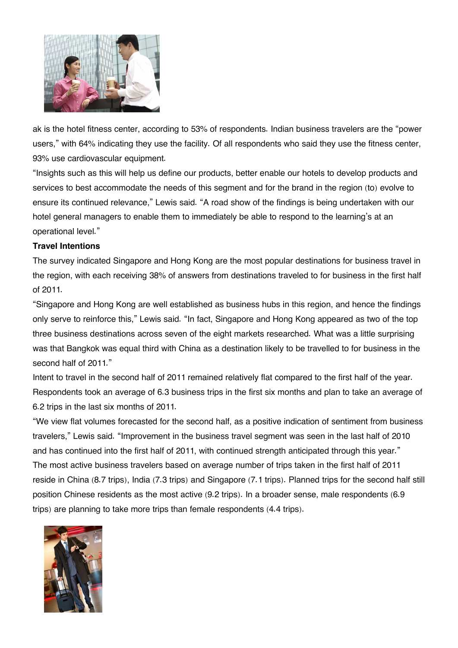

ak is the hotel fitness center, according to 53% of respondents. Indian business travelers are the "power users," with 64% indicating they use the facility. Of all respondents who said they use the fitness center, 93% use cardiovascular equipment.

"Insights such as this will help us define our products, better enable our hotels to develop products and services to best accommodate the needs of this segment and for the brand in the region (to) evolve to ensure its continued relevance," Lewis said. "A road show of the findings is being undertaken with our hotel general managers to enable them to immediately be able to respond to the learning's at an operational level."

#### **Travel Intentions**

The survey indicated Singapore and Hong Kong are the most popular destinations for business travel in the region, with each receiving 38% of answers from destinations traveled to for business in the first half of 2011.

"Singapore and Hong Kong are well established as business hubs in this region, and hence the findings only serve to reinforce this," Lewis said. "In fact, Singapore and Hong Kong appeared as two of the top three business destinations across seven of the eight markets researched. What was a little surprising was that Bangkok was equal third with China as a destination likely to be travelled to for business in the second half of 2011."

Intent to travel in the second half of 2011 remained relatively flat compared to the first half of the year. Respondents took an average of 6.3 business trips in the first six months and plan to take an average of 6.2 trips in the last six months of 2011.

"We view flat volumes forecasted for the second half, as a positive indication of sentiment from business travelers," Lewis said. "Improvement in the business travel segment was seen in the last half of 2010 and has continued into the first half of 2011, with continued strength anticipated through this year." The most active business travelers based on average number of trips taken in the first half of 2011 reside in China (8.7 trips), India (7.3 trips) and Singapore (7.1 trips). Planned trips for the second half still position Chinese residents as the most active (9.2 trips). In a broader sense, male respondents (6.9 trips) are planning to take more trips than female respondents (4.4 trips).